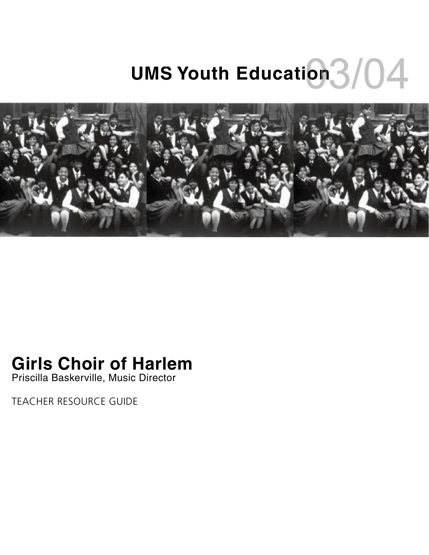# UMS Youth Education<sup>3</sup>/04



# **Girls Choir of Harlem**

Priscilla Baskerville, Music Director

TEACHER RESOURCE GUIDE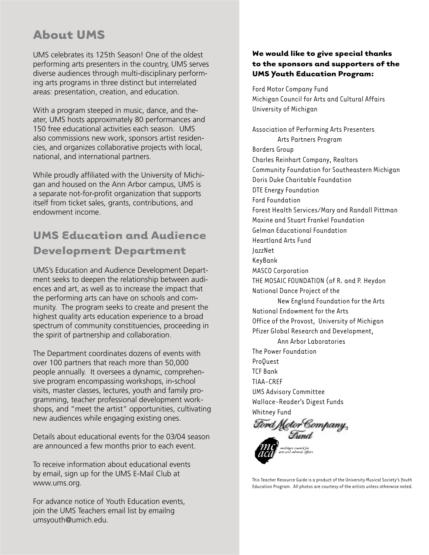## **About UMS**

UMS celebrates its 125th Season! One of the oldest performing arts presenters in the country, UMS serves diverse audiences through multi-disciplinary performing arts programs in three distinct but interrelated areas: presentation, creation, and education.

With a program steeped in music, dance, and theater, UMS hosts approximately 80 performances and 150 free educational activities each season. UMS also commissions new work, sponsors artist residencies, and organizes collaborative projects with local, national, and international partners.

While proudly affiliated with the University of Michigan and housed on the Ann Arbor campus, UMS is a separate not-for-profit organization that supports itself from ticket sales, grants, contributions, and endowment income.

# **UMS Education and Audience Development Department**

UMS's Education and Audience Development Department seeks to deepen the relationship between audiences and art, as well as to increase the impact that the performing arts can have on schools and community. The program seeks to create and present the highest quality arts education experience to a broad spectrum of community constituencies, proceeding in the spirit of partnership and collaboration.

The Department coordinates dozens of events with over 100 partners that reach more than 50,000 people annually. It oversees a dynamic, comprehensive program encompassing workshops, in-school visits, master classes, lectures, youth and family programming, teacher professional development workshops, and "meet the artist" opportunities, cultivating new audiences while engaging existing ones.

Details about educational events for the 03/04 season are announced a few months prior to each event.

To receive information about educational events by email, sign up for the UMS E-Mail Club at www.ums.org.

For advance notice of Youth Education events, join the UMS Teachers email list by emailng umsyouth@umich.edu.

#### **We would like to give special thanks to the sponsors and supporters of the UMS Youth Education Program:**

Ford Motor Company Fund Michigan Council for Arts and Cultural Affairs University of Michigan

Association of Performing Arts Presenters Arts Partners Program Borders Group Charles Reinhart Company, Realtors Community Foundation for Southeastern Michigan Doris Duke Charitable Foundation DTE Energy Foundation Ford Foundation Forest Health Services/Mary and Randall Pittman Maxine and Stuart Frankel Foundation Gelman Educational Foundation Heartland Arts Fund JazzNet KeyBank MASCO Corporation THE MOSAIC FOUNDATION (of R. and P. Heydon National Dance Project of the New England Foundation for the Arts National Endowment for the Arts Office of the Provost, University of Michigan Pfizer Global Research and Development, Ann Arbor Laboratories The Power Foundation ProQuest TCF Bank TIAA-CREF UMS Advisory Committee Wallace-Reader's Digest Funds Whitney Fund Ford Motor Company,<br>Frind

This Teacher Resource Guide is a product of the University Musical Society's Youth Education Program. All photos are courtesy of the artists unless otherwise noted.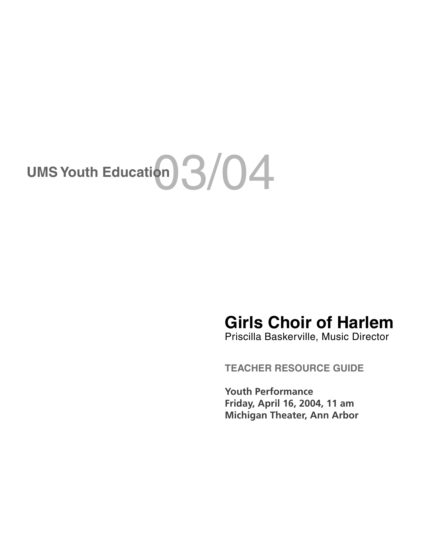

# **Girls Choir of Harlem**

Priscilla Baskerville, Music Director

**TEACHER RESOURCE GUIDE**

**Youth Performance Friday, April 16, 2004, 11 am Michigan Theater, Ann Arbor**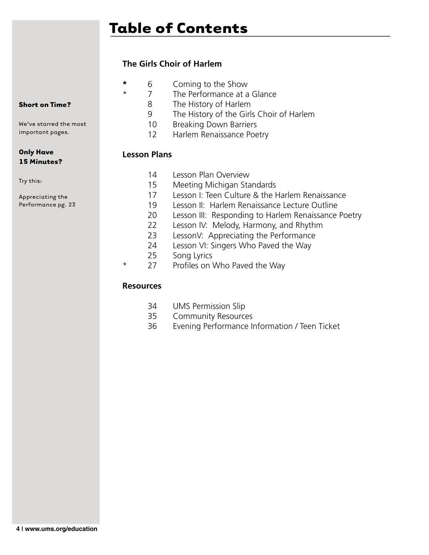# **Table of Contents**

#### **The Girls Choir of Harlem**

- **\*** 6 Coming to the Show
- \* 7 The Performance at a Glance
	- 8 The History of Harlem
	- 9 The History of the Girls Choir of Harlem
	- 10 Breaking Down Barriers
	- 12 Harlem Renaissance Poetry

#### **Lesson Plans**

- 14 Lesson Plan Overview
- 15 Meeting Michigan Standards
- 17 Lesson I: Teen Culture & the Harlem Renaissance
- 19 Lesson II: Harlem Renaissance Lecture Outline
- 20 Lesson III: Responding to Harlem Renaissance Poetry
- 22 Lesson IV: Melody, Harmony, and Rhythm
- 23 LessonV: Appreciating the Performance
- 24 Lesson VI: Singers Who Paved the Way
- 25 Song Lyrics
- \* 27 Profiles on Who Paved the Way

#### **Resources**

- 34 UMS Permission Slip
- 35 Community Resources
- 36 Evening Performance Information / Teen Ticket

**Short on Time?**

We've starred the most important pages.

#### **Only Have 15 Minutes?**

Try this:

Appreciating the Performance pg. 23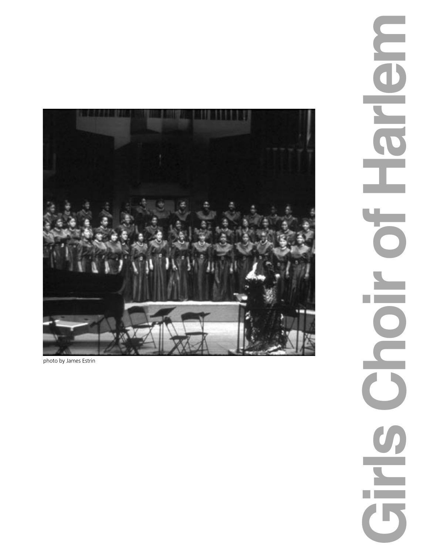

photo by James Estrin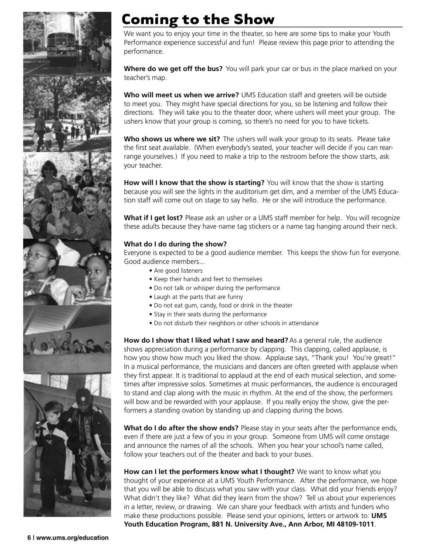

# **Coming to the Show**

We want you to enjoy your time in the theater, so here are some tips to make your Youth Performance experience successful and fun! Please review this page prior to attending the performance.

**Where do we get off the bus?** You will park your car or bus in the place marked on your teacher's map.

**Who will meet us when we arrive?** UMS Education staff and greeters will be outside to meet you. They might have special directions for you, so be listening and follow their directions. They will take you to the theater door, where ushers will meet your group. The ushers know that your group is coming, so there's no need for you to have tickets.

**Who shows us where we sit?** The ushers will walk your group to its seats. Please take the first seat available. (When everybody's seated, your teacher will decide if you can rearrange yourselves.) If you need to make a trip to the restroom before the show starts, ask your teacher.

**How will I know that the show is starting?** You will know that the show is starting because you will see the lights in the auditorium get dim, and a member of the UMS Education staff will come out on stage to say hello. He or she will introduce the performance.

**What if I get lost?** Please ask an usher or a UMS staff member for help. You will recognize these adults because they have name tag stickers or a name tag hanging around their neck.

#### **What do I do during the show?**

Everyone is expected to be a good audience member. This keeps the show fun for everyone. Good audience members...

- Are good listeners
- Keep their hands and feet to themselves
- Do not talk or whisper during the performance
- Laugh at the parts that are funny
- Do not eat gum, candy, food or drink in the theater
- Stay in their seats during the performance
- Do not disturb their neighbors or other schools in attendance

**How do I show that I liked what I saw and heard?** As a general rule, the audience shows appreciation during a performance by clapping. This clapping, called applause, is how you show how much you liked the show. Applause says, "Thank you! You're great!" In a musical performance, the musicians and dancers are often greeted with applause when they first appear. It is traditional to applaud at the end of each musical selection, and sometimes after impressive solos. Sometimes at music performances, the audience is encouraged to stand and clap along with the music in rhythm. At the end of the show, the performers will bow and be rewarded with your applause. If you really enjoy the show, give the performers a standing ovation by standing up and clapping during the bows.

**What do I do after the show ends?** Please stay in your seats after the performance ends, even if there are just a few of you in your group. Someone from UMS will come onstage and announce the names of all the schools. When you hear your school's name called, follow your teachers out of the theater and back to your buses.

**How can I let the performers know what I thought?** We want to know what you thought of your experience at a UMS Youth Performance. After the performance, we hope that you will be able to discuss what you saw with your class. What did your friends enjoy? What didn't they like? What did they learn from the show? Tell us about your experiences in a letter, review, or drawing. We can share your feedback with artists and funders who make these productions possible. Please send your opinions, letters or artwork to: **UMS Youth Education Program, 881 N. University Ave., Ann Arbor, MI 48109-1011**.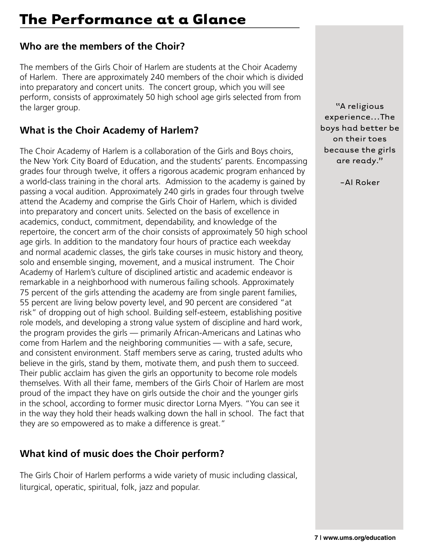### **Who are the members of the Choir?**

The members of the Girls Choir of Harlem are students at the Choir Academy of Harlem. There are approximately 240 members of the choir which is divided into preparatory and concert units. The concert group, which you will see perform, consists of approximately 50 high school age girls selected from from the larger group.

### **What is the Choir Academy of Harlem?**

The Choir Academy of Harlem is a collaboration of the Girls and Boys choirs, the New York City Board of Education, and the students' parents. Encompassing grades four through twelve, it offers a rigorous academic program enhanced by a world-class training in the choral arts. Admission to the academy is gained by passing a vocal audition. Approximately 240 girls in grades four through twelve attend the Academy and comprise the Girls Choir of Harlem, which is divided into preparatory and concert units. Selected on the basis of excellence in academics, conduct, commitment, dependability, and knowledge of the repertoire, the concert arm of the choir consists of approximately 50 high school age girls. In addition to the mandatory four hours of practice each weekday and normal academic classes, the girls take courses in music history and theory, solo and ensemble singing, movement, and a musical instrument. The Choir Academy of Harlem's culture of disciplined artistic and academic endeavor is remarkable in a neighborhood with numerous failing schools. Approximately 75 percent of the girls attending the academy are from single parent families, 55 percent are living below poverty level, and 90 percent are considered "at risk" of dropping out of high school. Building self-esteem, establishing positive role models, and developing a strong value system of discipline and hard work, the program provides the girls — primarily African-Americans and Latinas who come from Harlem and the neighboring communities — with a safe, secure, and consistent environment. Staff members serve as caring, trusted adults who believe in the girls, stand by them, motivate them, and push them to succeed. Their public acclaim has given the girls an opportunity to become role models themselves. With all their fame, members of the Girls Choir of Harlem are most proud of the impact they have on girls outside the choir and the younger girls in the school, according to former music director Lorna Myers. "You can see it in the way they hold their heads walking down the hall in school. The fact that they are so empowered as to make a difference is great."

### **What kind of music does the Choir perform?**

The Girls Choir of Harlem performs a wide variety of music including classical, liturgical, operatic, spiritual, folk, jazz and popular.

"A religious experience...The boys had better be on their toes because the girls are ready."

-Al Roker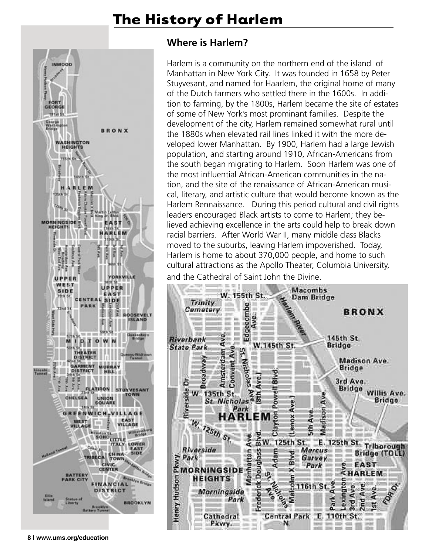# **The History of Harlem**



### **Where is Harlem?**

Harlem is a community on the northern end of the island of Manhattan in New York City. It was founded in 1658 by Peter Stuyvesant, and named for Haarlem, the original home of many of the Dutch farmers who settled there in the 1600s. In addition to farming, by the 1800s, Harlem became the site of estates of some of New York's most prominant families. Despite the development of the city, Harlem remained somewhat rural until the 1880s when elevated rail lines linked it with the more developed lower Manhattan. By 1900, Harlem had a large Jewish population, and starting around 1910, African-Americans from the south began migrating to Harlem. Soon Harlem was one of the most influential African-American communities in the nation, and the site of the renaissance of African-American musical, literary, and artistic culture that would become known as the Harlem Rennaissance. During this period cultural and civil rights leaders encouraged Black artists to come to Harlem; they believed achieving excellence in the arts could help to break down racial barriers. After World War II, many middle class Blacks moved to the suburbs, leaving Harlem impoverished. Today, Harlem is home to about 370,000 people, and home to such cultural attractions as the Apollo Theater, Columbia University, and the Cathedral of Saint John the Divine.

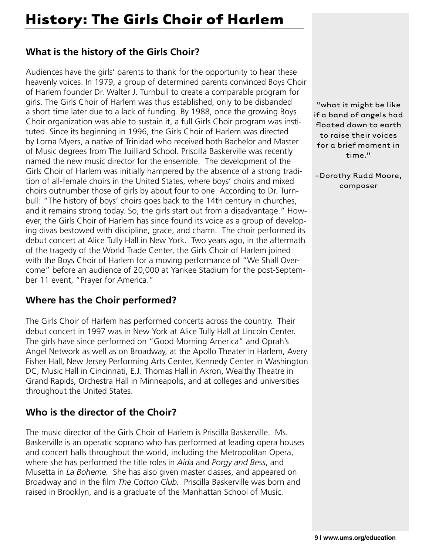# **History: The Girls Choir of Harlem**

### **What is the history of the Girls Choir?**

Audiences have the girls' parents to thank for the opportunity to hear these heavenly voices. In 1979, a group of determined parents convinced Boys Choir of Harlem founder Dr. Walter J. Turnbull to create a comparable program for girls. The Girls Choir of Harlem was thus established, only to be disbanded a short time later due to a lack of funding. By 1988, once the growing Boys Choir organization was able to sustain it, a full Girls Choir program was instituted. Since its beginning in 1996, the Girls Choir of Harlem was directed by Lorna Myers, a native of Trinidad who received both Bachelor and Master of Music degrees from The Juilliard School. Priscilla Baskerville was recently named the new music director for the ensemble. The development of the Girls Choir of Harlem was initially hampered by the absence of a strong tradition of all-female choirs in the United States, where boys' choirs and mixed choirs outnumber those of girls by about four to one. According to Dr. Turnbull: "The history of boys' choirs goes back to the 14th century in churches, and it remains strong today. So, the girls start out from a disadvantage." However, the Girls Choir of Harlem has since found its voice as a group of developing divas bestowed with discipline, grace, and charm. The choir performed its debut concert at Alice Tully Hall in New York. Two years ago, in the aftermath of the tragedy of the World Trade Center, the Girls Choir of Harlem joined with the Boys Choir of Harlem for a moving performance of "We Shall Overcome" before an audience of 20,000 at Yankee Stadium for the post-September 11 event, "Prayer for America."

### **Where has the Choir performed?**

The Girls Choir of Harlem has performed concerts across the country. Their debut concert in 1997 was in New York at Alice Tully Hall at Lincoln Center. The girls have since performed on "Good Morning America" and Oprah's Angel Network as well as on Broadway, at the Apollo Theater in Harlem, Avery Fisher Hall, New Jersey Performing Arts Center, Kennedy Center in Washington DC, Music Hall in Cincinnati, E.J. Thomas Hall in Akron, Wealthy Theatre in Grand Rapids, Orchestra Hall in Minneapolis, and at colleges and universities throughout the United States.

### **Who is the director of the Choir?**

The music director of the Girls Choir of Harlem is Priscilla Baskerville. Ms. Baskerville is an operatic soprano who has performed at leading opera houses and concert halls throughout the world, including the Metropolitan Opera, where she has performed the title roles in *Aida* and *Porgy and Bess*, and Musetta in *La Boheme.* She has also given master classes, and appeared on Broadway and in the film *The Cotton Club.* Priscilla Baskerville was born and raised in Brooklyn, and is a graduate of the Manhattan School of Music.

"what it might be like if a band of angels had floated down to earth to raise their voices for a brief moment in time."

-Dorothy Rudd Moore, composer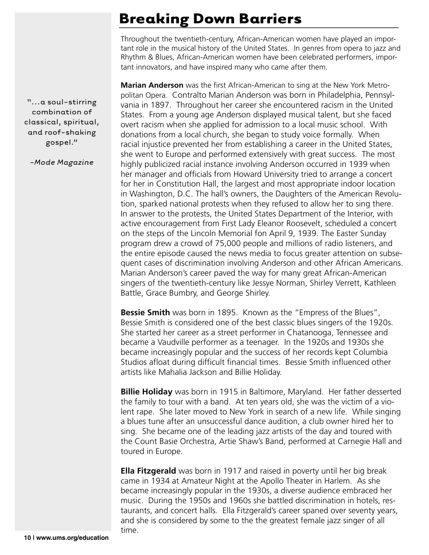# **Breaking Down Barriers**

Throughout the twentieth-century, African-American women have played an important role in the musical history of the United States. In genres from opera to jazz and Rhythm & Blues, African-American women have been celebrated performers, important innovators, and have inspired many who came after them.

**Marian Anderson** was the first African-American to sing at the New York Metropolitan Opera. Contralto Marian Anderson was born in Philadelphia, Pennsylvania in 1897. Throughout her career she encountered racism in the United States. From a young age Anderson displayed musical talent, but she faced overt racism when she applied for admission to a local music school. With donations from a local church, she began to study voice formally. When racial injustice prevented her from establishing a career in the United States, she went to Europe and performed extensively with great success. The most highly publicized racial instance involving Anderson occurred in 1939 when her manager and officials from Howard University tried to arrange a concert for her in Constitution Hall, the largest and most appropriate indoor location in Washington, D.C. The hall's owners, the Daughters of the American Revolution, sparked national protests when they refused to allow her to sing there. In answer to the protests, the United States Department of the Interior, with active encouragement from First Lady Eleanor Roosevelt, scheduled a concert on the steps of the Lincoln Memorial fon April 9, 1939. The Easter Sunday program drew a crowd of 75,000 people and millions of radio listeners, and the entire episode caused the news media to focus greater attention on subsequent cases of discrimination involving Anderson and other African Americans. Marian Anderson's career paved the way for many great African-American singers of the twentieth-century like Jessye Norman, Shirley Verrett, Kathleen Battle, Grace Bumbry, and George Shirley.

**Bessie Smith** was born in 1895. Known as the "Empress of the Blues", Bessie Smith is considered one of the best classic blues singers of the 1920s. She started her career as a street performer in Chatanooga, Tennessee and became a Vaudville performer as a teenager. In the 1920s and 1930s she became increasingly popular and the success of her records kept Columbia Studios afloat during difficult financial times. Bessie Smith influenced other artists like Mahalia Jackson and Billie Holiday.

**Billie Holiday** was born in 1915 in Baltimore, Maryland. Her father desserted the family to tour with a band. At ten years old, she was the victim of a violent rape. She later moved to New York in search of a new life. While singing a blues tune after an unsuccessful dance audition, a club owner hired her to sing. She became one of the leading jazz artists of the day and toured with the Count Basie Orchestra, Artie Shaw's Band, performed at Carnegie Hall and toured in Europe.

**Ella Fitzgerald** was born in 1917 and raised in poverty until her big break came in 1934 at Amateur Night at the Apollo Theater in Harlem. As she became increasingly popular in the 1930s, a diverse audience embraced her music. During the 1950s and 1960s she battled discrimination in hotels, restaurants, and concert halls. Ella Fitzgerald's career spaned over seventy years, and she is considered by some to the the greatest female jazz singer of all time.

"...a soul-stirring combination of classical, spiritual, and roof-shaking gospel."

-*Mode Magazine*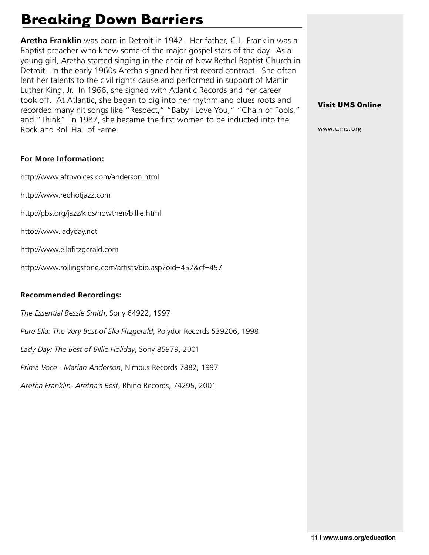# **Breaking Down Barriers**

**Aretha Franklin** was born in Detroit in 1942. Her father, C.L. Franklin was a Baptist preacher who knew some of the major gospel stars of the day. As a young girl, Aretha started singing in the choir of New Bethel Baptist Church in Detroit. In the early 1960s Aretha signed her first record contract. She often lent her talents to the civil rights cause and performed in support of Martin Luther King, Jr. In 1966, she signed with Atlantic Records and her career took off. At Atlantic, she began to dig into her rhythm and blues roots and recorded many hit songs like "Respect," "Baby I Love You," "Chain of Fools," and "Think" In 1987, she became the first women to be inducted into the Rock and Roll Hall of Fame.

#### **For More Information:**

http://www.afrovoices.com/anderson.html

http://www.redhotjazz.com

http://pbs.org/jazz/kids/nowthen/billie.html

htto://www.ladyday.net

http://www.ellafitzgerald.com

http://www.rollingstone.com/artists/bio.asp?oid=457&cf=457

#### **Recommended Recordings:**

*The Essential Bessie Smith*, Sony 64922, 1997

*Pure Ella: The Very Best of Ella Fitzgerald*, Polydor Records 539206, 1998

*Lady Day: The Best of Billie Holiday*, Sony 85979, 2001

*Prima Voce - Marian Anderson*, Nimbus Records 7882, 1997

*Aretha Franklin- Aretha's Best*, Rhino Records, 74295, 2001

#### **Visit UMS Online**

www.ums.org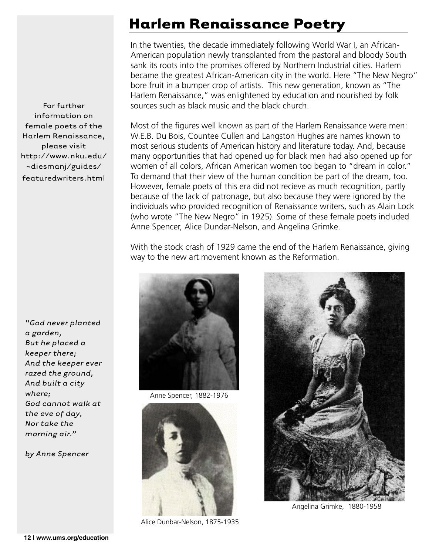# **Harlem Renaissance Poetry**

In the twenties, the decade immediately following World War I, an African-American population newly transplanted from the pastoral and bloody South sank its roots into the promises offered by Northern Industrial cities. Harlem became the greatest African-American city in the world. Here "The New Negro" bore fruit in a bumper crop of artists. This new generation, known as "The Harlem Renaissance," was enlightened by education and nourished by folk sources such as black music and the black church.

Most of the figures well known as part of the Harlem Renaissance were men: W.E.B. Du Bois, Countee Cullen and Langston Hughes are names known to most serious students of American history and literature today. And, because many opportunities that had opened up for black men had also opened up for women of all colors, African American women too began to "dream in color." To demand that their view of the human condition be part of the dream, too. However, female poets of this era did not recieve as much recognition, partly because of the lack of patronage, but also because they were ignored by the individuals who provided recognition of Renaissance writers, such as Alain Lock (who wrote "The New Negro" in 1925). Some of these female poets included Anne Spencer, Alice Dundar-Nelson, and Angelina Grimke.

With the stock crash of 1929 came the end of the Harlem Renaissance, giving way to the new art movement known as the Reformation.



Anne Spencer, 1882-1976



Alice Dunbar-Nelson, 1875-1935



Angelina Grimke, 1880-1958

For further information on female poets of the Harlem Renaissance, please visit http://www.nku.edu/ ~diesmanj/guides/ featuredwriters.html

*"God never planted a garden, But he placed a keeper there; And the keeper ever razed the ground, And built a city where; God cannot walk at the eve of day, Nor take the morning air."* 

*by Anne Spencer*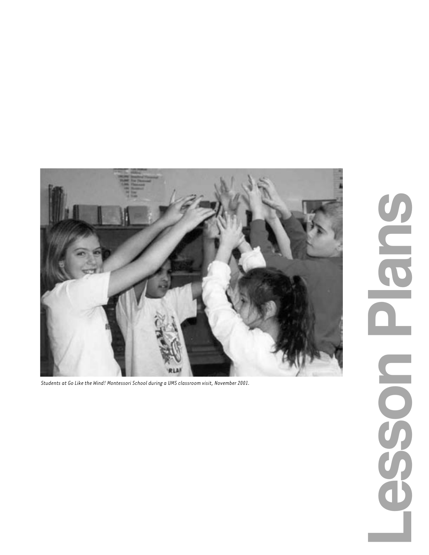

*Students at Go Like the Wind! Montessori School during a UMS classroom visit, November 2001.*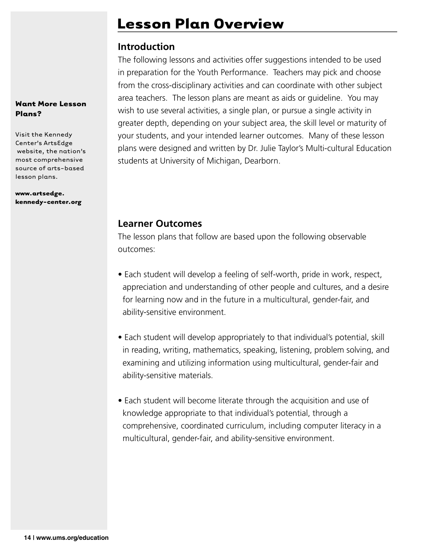# **Lesson Plan Overview**

#### **Introduction**

The following lessons and activities offer suggestions intended to be used in preparation for the Youth Performance. Teachers may pick and choose from the cross-disciplinary activities and can coordinate with other subject area teachers. The lesson plans are meant as aids or guideline. You may wish to use several activities, a single plan, or pursue a single activity in greater depth, depending on your subject area, the skill level or maturity of your students, and your intended learner outcomes. Many of these lesson plans were designed and written by Dr. Julie Taylor's Multi-cultural Education students at University of Michigan, Dearborn.

#### **Learner Outcomes**

The lesson plans that follow are based upon the following observable outcomes:

- Each student will develop a feeling of self-worth, pride in work, respect, appreciation and understanding of other people and cultures, and a desire for learning now and in the future in a multicultural, gender-fair, and ability-sensitive environment.
- Each student will develop appropriately to that individual's potential, skill in reading, writing, mathematics, speaking, listening, problem solving, and examining and utilizing information using multicultural, gender-fair and ability-sensitive materials.
- Each student will become literate through the acquisition and use of knowledge appropriate to that individual's potential, through a comprehensive, coordinated curriculum, including computer literacy in a multicultural, gender-fair, and ability-sensitive environment.

#### **Want More Lesson Plans?**

Visit the Kennedy Center's ArtsEdge website, the nation's most comprehensive source of arts-based lesson plans.

#### **www.artsedge. kennedy-center.org**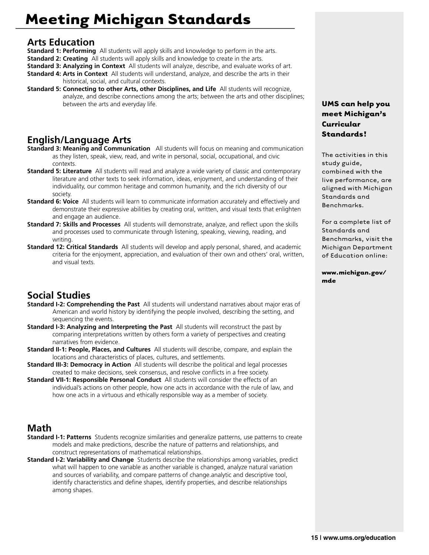# **Meeting Michigan Standards**

### **Arts Education**

- **Standard 1: Performing** All students will apply skills and knowledge to perform in the arts.
- **Standard 2: Creating** All students will apply skills and knowledge to create in the arts.
- **Standard 3: Analyzing in Context** All students will analyze, describe, and evaluate works of art.
- **Standard 4: Arts in Context** All students will understand, analyze, and describe the arts in their historical, social, and cultural contexts.
- **Standard 5: Connecting to other Arts, other Disciplines, and Life** All students will recognize, analyze, and describe connections among the arts; between the arts and other disciplines; between the arts and everyday life.

### **English/Language Arts**

- **Standard 3: Meaning and Communication** All students will focus on meaning and communication as they listen, speak, view, read, and write in personal, social, occupational, and civic contexts.
- **Standard 5: Literature** All students will read and analyze a wide variety of classic and contemporary literature and other texts to seek information, ideas, enjoyment, and understanding of their individuality, our common heritage and common humanity, and the rich diversity of our society.
- **Standard 6: Voice** All students will learn to communicate information accurately and effectively and demonstrate their expressive abilities by creating oral, written, and visual texts that enlighten and engage an audience.
- **Standard 7: Skills and Processes** All students will demonstrate, analyze, and reflect upon the skills and processes used to communicate through listening, speaking, viewing, reading, and writing.
- **Standard 12: Critical Standards** All students will develop and apply personal, shared, and academic criteria for the enjoyment, appreciation, and evaluation of their own and others' oral, written, and visual texts.

### **Social Studies**

- **Standard I-2: Comprehending the Past** All students will understand narratives about major eras of American and world history by identifying the people involved, describing the setting, and sequencing the events.
- **Standard I-3: Analyzing and Interpreting the Past** All students will reconstruct the past by comparing interpretations written by others form a variety of perspectives and creating narratives from evidence.
- **Standard II-1: People, Places, and Cultures** All students will describe, compare, and explain the locations and characteristics of places, cultures, and settlements.
- **Standard III-3: Democracy in Action** All students will describe the political and legal processes created to make decisions, seek consensus, and resolve conflicts in a free society.
- **Standard VII-1: Responsible Personal Conduct** All students will consider the effects of an individual's actions on other people, how one acts in accordance with the rule of law, and how one acts in a virtuous and ethically responsible way as a member of society.

### **Math**

- **Standard I-1: Patterns** Students recognize similarities and generalize patterns, use patterns to create models and make predictions, describe the nature of patterns and relationships, and construct representations of mathematical relationships.
- **Standard I-2: Variability and Change** Students describe the relationships among variables, predict what will happen to one variable as another variable is changed, analyze natural variation and sources of variability, and compare patterns of change.analytic and descriptive tool, identify characteristics and define shapes, identify properties, and describe relationships among shapes.

#### **UMS can help you meet Michigan's Curricular Standards!**

The activities in this study guide, combined with the live performance, are aligned with Michigan Standards and Benchmarks.

For a complete list of Standards and Benchmarks, visit the Michigan Department of Education online:

**www.michigan.gov/ mde**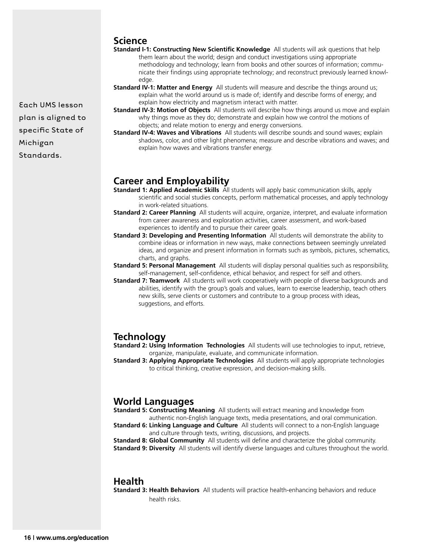#### **Science**

- **Standard I-1: Constructing New Scientific Knowledge** All students will ask questions that help them learn about the world; design and conduct investigations using appropriate methodology and technology; learn from books and other sources of information; communicate their findings using appropriate technology; and reconstruct previously learned knowledge.
- **Standard IV-1: Matter and Energy** All students will measure and describe the things around us; explain what the world around us is made of; identify and describe forms of energy; and explain how electricity and magnetism interact with matter.
- **Standard IV-3: Motion of Objects** All students will describe how things around us move and explain why things move as they do; demonstrate and explain how we control the motions of objects; and relate motion to energy and energy conversions.
- **Standard IV-4: Waves and Vibrations** All students will describe sounds and sound waves; explain shadows, color, and other light phenomena; measure and describe vibrations and waves; and explain how waves and vibrations transfer energy.

#### **Career and Employability**

- **Standard 1: Applied Academic Skills** All students will apply basic communication skills, apply scientific and social studies concepts, perform mathematical processes, and apply technology in work-related situations.
- **Standard 2: Career Planning** All students will acquire, organize, interpret, and evaluate information from career awareness and exploration activities, career assessment, and work-based experiences to identify and to pursue their career goals.
- **Standard 3: Developing and Presenting Information** All students will demonstrate the ability to combine ideas or information in new ways, make connections between seemingly unrelated ideas, and organize and present information in formats such as symbols, pictures, schematics, charts, and graphs.
- **Standard 5: Personal Management** All students will display personal qualities such as responsibility, self-management, self-confidence, ethical behavior, and respect for self and others.
- **Standard 7: Teamwork** All students will work cooperatively with people of diverse backgrounds and abilities, identify with the group's goals and values, learn to exercise leadership, teach others new skills, serve clients or customers and contribute to a group process with ideas, suggestions, and efforts.

#### **Technology**

- **Standard 2: Using Information Technologies** All students will use technologies to input, retrieve, organize, manipulate, evaluate, and communicate information.
- **Standard 3: Applying Appropriate Technologies** All students will apply appropriate technologies to critical thinking, creative expression, and decision-making skills.

#### **World Languages**

- **Standard 5: Constructing Meaning** All students will extract meaning and knowledge from authentic non-English language texts, media presentations, and oral communication.
- **Standard 6: Linking Language and Culture** All students will connect to a non-English language and culture through texts, writing, discussions, and projects.
- **Standard 8: Global Community** All students will define and characterize the global community. **Standard 9: Diversity** All students will identify diverse languages and cultures throughout the world.

#### **Health**

**Standard 3: Health Behaviors** All students will practice health-enhancing behaviors and reduce health risks.

Each UMS lesson plan is aligned to specific State of Michigan Standards.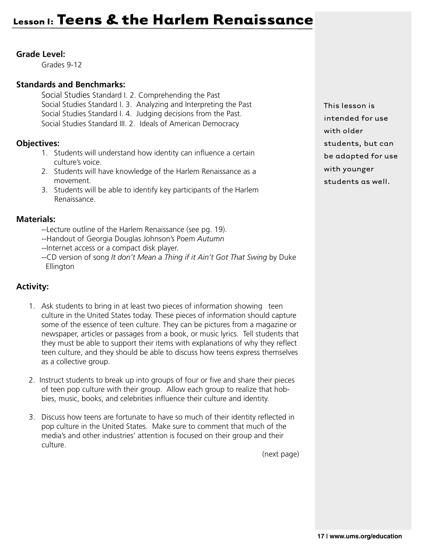#### **Grade Level:**

Grades 9-12

#### **Standards and Benchmarks:**

Social Studies Standard I. 2. Comprehending the Past Social Studies Standard I. 3. Analyzing and Interpreting the Past Social Studies Standard I. 4. Judging decisions from the Past. Social Studies Standard III. 2. Ideals of American Democracy

#### **Objectives:**

- 1. Students will understand how identity can influence a certain culture's voice.
- 2. Students will have knowledge of the Harlem Renaissance as a movement.
- 3. Students will be able to identify key participants of the Harlem Renaissance.

#### **Materials:**

--Lecture outline of the Harlem Renaissance (see pg. 19).

--Handout of Georgia Douglas Johnson's Poem *Autumn*

--Internet access or a compact disk player.

--CD version of song *It don't Mean a Thing if it Ain't Got That Swing* by Duke Ellington

#### **Activity:**

- 1. Ask students to bring in at least two pieces of information showing teen culture in the United States today. These pieces of information should capture some of the essence of teen culture. They can be pictures from a magazine or newspaper, articles or passages from a book, or music lyrics. Tell students that they must be able to support their items with explanations of why they reflect teen culture, and they should be able to discuss how teens express themselves as a collective group.
- 2. Instruct students to break up into groups of four or five and share their pieces of teen pop culture with their group. Allow each group to realize that hobbies, music, books, and celebrities influence their culture and identity.
- 3. Discuss how teens are fortunate to have so much of their identity reflected in pop culture in the United States. Make sure to comment that much of the media's and other industries' attention is focused on their group and their culture.

(next page)

This lesson is intended for use with older students, but can be adapted for use with younger students as well.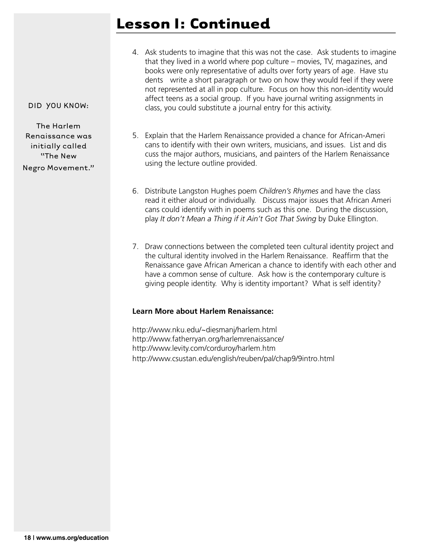# **Lesson I: Continued**

- 4. Ask students to imagine that this was not the case. Ask students to imagine that they lived in a world where pop culture – movies, TV, magazines, and books were only representative of adults over forty years of age. Have stu dents write a short paragraph or two on how they would feel if they were not represented at all in pop culture. Focus on how this non-identity would affect teens as a social group. If you have journal writing assignments in class, you could substitute a journal entry for this activity.
- 5. Explain that the Harlem Renaissance provided a chance for African-Ameri cans to identify with their own writers, musicians, and issues. List and dis cuss the major authors, musicians, and painters of the Harlem Renaissance using the lecture outline provided.
- 6. Distribute Langston Hughes poem *Children's Rhymes* and have the class read it either aloud or individually. Discuss major issues that African Ameri cans could identify with in poems such as this one. During the discussion, play *It don't Mean a Thing if it Ain't Got That Swing* by Duke Ellington.
- 7. Draw connections between the completed teen cultural identity project and the cultural identity involved in the Harlem Renaissance. Reaffirm that the Renaissance gave African American a chance to identify with each other and have a common sense of culture. Ask how is the contemporary culture is giving people identity. Why is identity important? What is self identity?

#### **Learn More about Harlem Renaissance:**

http://www.nku.edu/~diesmanj/harlem.html http://www.fatherryan.org/harlemrenaissance/ http://www.levity.com/corduroy/harlem.htm http://www.csustan.edu/english/reuben/pal/chap9/9intro.html

#### DID YOU KNOW:

The Harlem Renaissance was initially called "The New Negro Movement."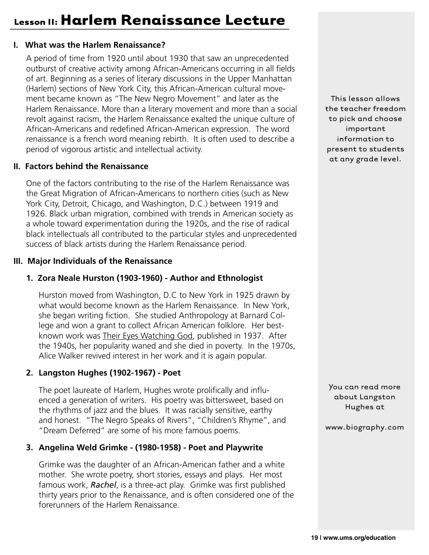# **Lesson II: Harlem Renaissance Lecture**

#### **I. What was the Harlem Renaissance?**

A period of time from 1920 until about 1930 that saw an unprecedented outburst of creative activity among African-Americans occurring in all fields of art. Beginning as a series of literary discussions in the Upper Manhattan (Harlem) sections of New York City, this African-American cultural movement became known as "The New Negro Movement" and later as the Harlem Renaissance. More than a literary movement and more than a social revolt against racism, the Harlem Renaissance exalted the unique culture of African-Americans and redefined African-American expression. The word renaissance is a french word meaning rebirth. It is often used to describe a period of vigorous artistic and intellectual activity.

#### **II. Factors behind the Renaissance**

One of the factors contributing to the rise of the Harlem Renaissance was the Great Migration of African-Americans to northern cities (such as New York City, Detroit, Chicago, and Washington, D.C.) between 1919 and 1926. Black urban migration, combined with trends in American society as a whole toward experimentation during the 1920s, and the rise of radical black intellectuals all contributed to the particular styles and unprecedented success of black artists during the Harlem Renaissance period.

#### **III. Major Individuals of the Renaissance**

#### **1. Zora Neale Hurston (1903-1960) - Author and Ethnologist**

Hurston moved from Washington, D.C to New York in 1925 drawn by what would become known as the Harlem Renaissance. In New York, she began writing fiction. She studied Anthropology at Barnard College and won a grant to collect African American folklore. Her bestknown work was Their Eyes Watching God, published in 1937. After the 1940s, her popularity waned and she died in poverty. In the 1970s, Alice Walker revived interest in her work and it is again popular.

#### **2. Langston Hughes (1902-1967) - Poet**

The poet laureate of Harlem, Hughes wrote prolifically and influenced a generation of writers. His poetry was bittersweet, based on the rhythms of jazz and the blues. It was racially sensitive, earthy and honest. "The Negro Speaks of Rivers", "Children's Rhyme", and "Dream Deferred" are some of his more famous poems.

#### **3. Angelina Weld Grimke - (1980-1958) - Poet and Playwrite**

Grimke was the daughter of an African-American father and a white mother. She wrote poetry, short stories, essays and plays. Her most famous work, *Rachel*, is a three-act play. Grimke was first published thirty years prior to the Renaissance, and is often considered one of the forerunners of the Harlem Renaissance.

This lesson allows the teacher freedom to pick and choose important information to present to students at any grade level.

You can read more about Langston Hughes at

www.biography.com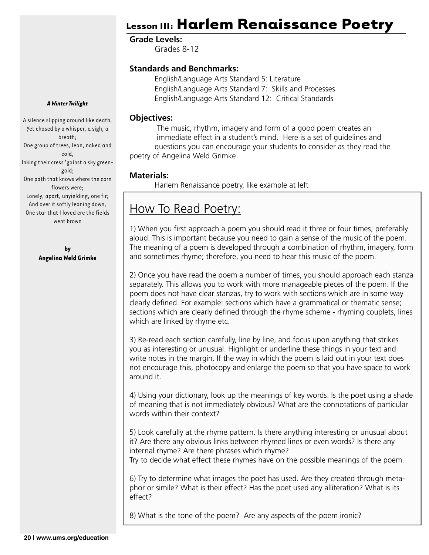# **Lesson III: Harlem Renaissance Poetry**

#### **Grade Levels:**

Grades 8-12

#### **Standards and Benchmarks:**

English/Language Arts Standard 5: Literature English/Language Arts Standard 7: Skills and Processes English/Language Arts Standard 12: Critical Standards

#### **Objectives:**

The music, rhythm, imagery and form of a good poem creates an immediate effect in a student's mind. Here is a set of guidelines and questions you can encourage your students to consider as they read the poetry of Angelina Weld Grimke.

#### **Materials:**

Harlem Renaissance poetry, like example at left

# How To Read Poetry:

1) When you first approach a poem you should read it three or four times, preferably aloud. This is important because you need to gain a sense of the music of the poem. The meaning of a poem is developed through a combination of rhythm, imagery, form and sometimes rhyme; therefore, you need to hear this music of the poem.

2) Once you have read the poem a number of times, you should approach each stanza separately. This allows you to work with more manageable pieces of the poem. If the poem does not have clear stanzas, try to work with sections which are in some way clearly defined. For example: sections which have a grammatical or thematic sense; sections which are clearly defined through the rhyme scheme - rhyming couplets, lines which are linked by rhyme etc.

3) Re-read each section carefully, line by line, and focus upon anything that strikes you as interesting or unusual. Highlight or underline these things in your text and write notes in the margin. If the way in which the poem is laid out in your text does not encourage this, photocopy and enlarge the poem so that you have space to work around it.

4) Using your dictionary, look up the meanings of key words. Is the poet using a shade of meaning that is not immediately obvious? What are the connotations of particular words within their context?

5) Look carefully at the rhyme pattern. Is there anything interesting or unusual about it? Are there any obvious links between rhymed lines or even words? Is there any internal rhyme? Are there phrases which rhyme?

Try to decide what effect these rhymes have on the possible meanings of the poem.

6) Try to determine what images the poet has used. Are they created through metaphor or simile? What is their effect? Has the poet used any alliteration? What is its effect?

8) What is the tone of the poem? Are any aspects of the poem ironic?

#### *A Winter Twilight*

A silence slipping around like death, Yet chased by a whisper, a sigh, a breath; One group of trees, lean, naked and cold, Inking their cress 'gainst a sky greengold; One path that knows where the corn flowers were; Lonely, apart, unyielding, one fir; And over it softly leaning down, One star that I loved ere the fields went brown

> **by Angelina Weld Grimke**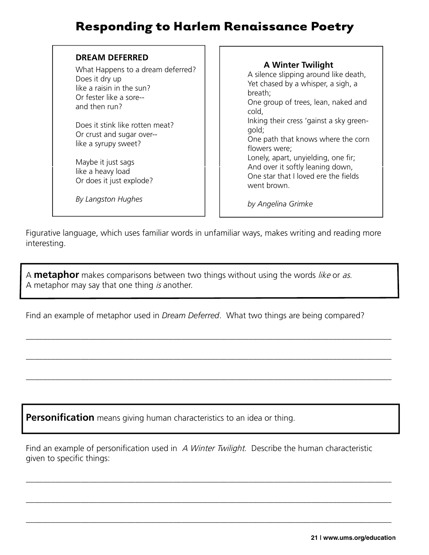# **Responding to Harlem Renaissance Poetry**

#### **DREAM DEFERRED**

 What Happens to a dream deferred? Does it dry up like a raisin in the sun? Or fester like a sore- and then run?

 Does it stink like rotten meat? Or crust and sugar over- like a syrupy sweet?

 Maybe it just sags like a heavy load Or does it just explode?

*By Langston Hughes*

#### **A Winter Twilight**

A silence slipping around like death, Yet chased by a whisper, a sigh, a breath; One group of trees, lean, naked and cold, Inking their cress 'gainst a sky greengold; One path that knows where the corn flowers were; Lonely, apart, unyielding, one fir; And over it softly leaning down, One star that I loved ere the fields went brown.

*by Angelina Grimke*

Figurative language, which uses familiar words in unfamiliar ways, makes writing and reading more interesting.

A **metaphor** makes comparisons between two things without using the words like or as. A metaphor may say that one thing is another.

Find an example of metaphor used in *Dream Deferred*. What two things are being compared?

\_\_\_\_\_\_\_\_\_\_\_\_\_\_\_\_\_\_\_\_\_\_\_\_\_\_\_\_\_\_\_\_\_\_\_\_\_\_\_\_\_\_\_\_\_\_\_\_\_\_\_\_\_\_\_\_\_\_\_\_\_\_\_\_\_\_\_\_\_\_\_\_\_\_\_\_\_\_\_\_\_\_\_\_\_\_\_

\_\_\_\_\_\_\_\_\_\_\_\_\_\_\_\_\_\_\_\_\_\_\_\_\_\_\_\_\_\_\_\_\_\_\_\_\_\_\_\_\_\_\_\_\_\_\_\_\_\_\_\_\_\_\_\_\_\_\_\_\_\_\_\_\_\_\_\_\_\_\_\_\_\_\_\_\_\_\_\_\_\_\_\_\_\_\_

\_\_\_\_\_\_\_\_\_\_\_\_\_\_\_\_\_\_\_\_\_\_\_\_\_\_\_\_\_\_\_\_\_\_\_\_\_\_\_\_\_\_\_\_\_\_\_\_\_\_\_\_\_\_\_\_\_\_\_\_\_\_\_\_\_\_\_\_\_\_\_\_\_\_\_\_\_\_\_\_\_\_\_\_\_\_\_

**Personification** means giving human characteristics to an idea or thing.

Find an example of personification used in  $A$  *Winter Twilight*. Describe the human characteristic given to specific things:

\_\_\_\_\_\_\_\_\_\_\_\_\_\_\_\_\_\_\_\_\_\_\_\_\_\_\_\_\_\_\_\_\_\_\_\_\_\_\_\_\_\_\_\_\_\_\_\_\_\_\_\_\_\_\_\_\_\_\_\_\_\_\_\_\_\_\_\_\_\_\_\_\_\_\_\_\_\_\_\_\_\_\_\_\_\_\_

\_\_\_\_\_\_\_\_\_\_\_\_\_\_\_\_\_\_\_\_\_\_\_\_\_\_\_\_\_\_\_\_\_\_\_\_\_\_\_\_\_\_\_\_\_\_\_\_\_\_\_\_\_\_\_\_\_\_\_\_\_\_\_\_\_\_\_\_\_\_\_\_\_\_\_\_\_\_\_\_\_\_\_\_\_\_\_

\_\_\_\_\_\_\_\_\_\_\_\_\_\_\_\_\_\_\_\_\_\_\_\_\_\_\_\_\_\_\_\_\_\_\_\_\_\_\_\_\_\_\_\_\_\_\_\_\_\_\_\_\_\_\_\_\_\_\_\_\_\_\_\_\_\_\_\_\_\_\_\_\_\_\_\_\_\_\_\_\_\_\_\_\_\_\_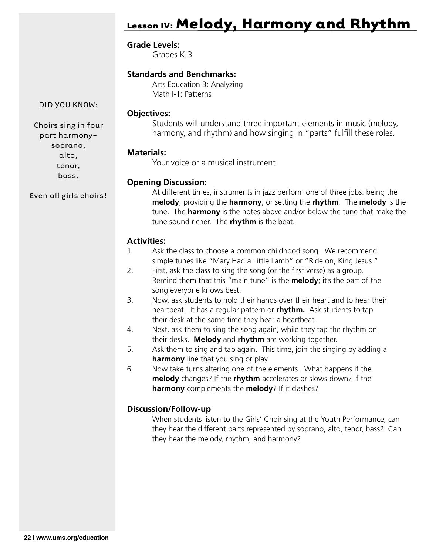# **Lesson IV: Melody, Harmony and Rhythm**

#### **Grade Levels:**

Grades K-3

#### **Standards and Benchmarks:**

Arts Education 3: Analyzing Math I-1: Patterns

#### DID YOU KNOW:

#### **Objectives:**

Students will understand three important elements in music (melody, harmony, and rhythm) and how singing in "parts" fulfill these roles.

#### **Materials:**

Your voice or a musical instrument

#### **Opening Discussion:**

At different times, instruments in jazz perform one of three jobs: being the **melody**, providing the **harmony**, or setting the **rhythm**. The **melody** is the tune. The **harmony** is the notes above and/or below the tune that make the tune sound richer. The **rhythm** is the beat.

#### **Activities:**

- 1. Ask the class to choose a common childhood song. We recommend simple tunes like "Mary Had a Little Lamb" or "Ride on, King Jesus."
- 2. First, ask the class to sing the song (or the first verse) as a group. Remind them that this "main tune" is the **melody**; it's the part of the song everyone knows best.
- 3. Now, ask students to hold their hands over their heart and to hear their heartbeat. It has a regular pattern or **rhythm.** Ask students to tap their desk at the same time they hear a heartbeat.
- 4. Next, ask them to sing the song again, while they tap the rhythm on their desks. **Melody** and **rhythm** are working together.
- 5. Ask them to sing and tap again. This time, join the singing by adding a **harmony** line that you sing or play.
- 6. Now take turns altering one of the elements. What happens if the **melody** changes? If the **rhythm** accelerates or slows down? If the **harmony** complements the **melody**? If it clashes?

#### **Discussion/Follow-up**

When students listen to the Girls' Choir sing at the Youth Performance, can they hear the different parts represented by soprano, alto, tenor, bass? Can they hear the melody, rhythm, and harmony?

Choirs sing in four part harmonysoprano, alto, tenor, bass.

Even all girls choirs!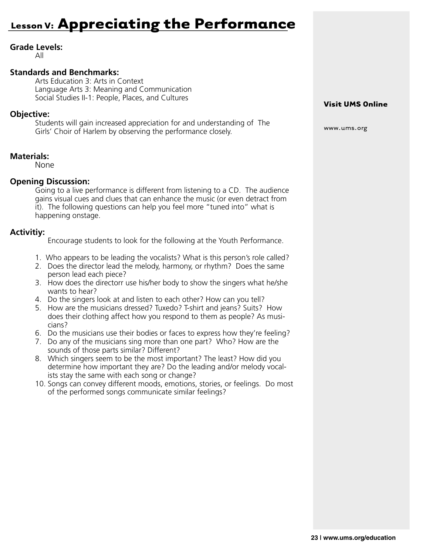# **Lesson V: Appreciating the Performance**

#### **Grade Levels:**

All

#### **Standards and Benchmarks:**

Arts Education 3: Arts in Context Language Arts 3: Meaning and Communication Social Studies II-1: People, Places, and Cultures

#### **Objective:**

Students will gain increased appreciation for and understanding of The Girls' Choir of Harlem by observing the performance closely.

#### **Materials:**

None

#### **Opening Discussion:**

Going to a live performance is different from listening to a CD. The audience gains visual cues and clues that can enhance the music (or even detract from it). The following questions can help you feel more "tuned into" what is happening onstage.

#### **Activitiy:**

Encourage students to look for the following at the Youth Performance.

- 1. Who appears to be leading the vocalists? What is this person's role called?
- 2. Does the director lead the melody, harmony, or rhythm? Does the same person lead each piece?
- 3. How does the directorr use his/her body to show the singers what he/she wants to hear?
- 4. Do the singers look at and listen to each other? How can you tell?
- 5. How are the musicians dressed? Tuxedo? T-shirt and jeans? Suits? How does their clothing affect how you respond to them as people? As musicians?
- 6. Do the musicians use their bodies or faces to express how they're feeling?
- 7. Do any of the musicians sing more than one part? Who? How are the sounds of those parts similar? Different?
- 8. Which singers seem to be the most important? The least? How did you determine how important they are? Do the leading and/or melody vocalists stay the same with each song or change?
- 10. Songs can convey different moods, emotions, stories, or feelings. Do most of the performed songs communicate similar feelings?

#### **Visit UMS Online**

www.ums.org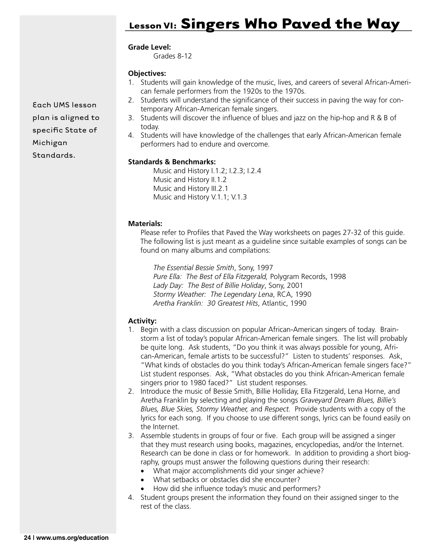# **Lesson VI: Singers Who Paved the Way**

#### **Grade Level:**

Grades 8-12

#### **Objectives:**

- 1. Students will gain knowledge of the music, lives, and careers of several African-American female performers from the 1920s to the 1970s.
- 2. Students will understand the significance of their success in paving the way for contemporary African-American female singers.
- 3. Students will discover the influence of blues and jazz on the hip-hop and R & B of today.
- 4. Students will have knowledge of the challenges that early African-American female performers had to endure and overcome.

#### **Standards & Benchmarks:**

Music and History I.1.2; I.2.3; I.2.4 Music and History II.1.2 Music and History III.2.1 Music and History V.1.1; V.1.3

#### **Materials:**

Please refer to Profiles that Paved the Way worksheets on pages 27-32 of this guide. The following list is just meant as a guideline since suitable examples of songs can be found on many albums and compilations:

 *The Essential Bessie Smith*, Sony, 1997 *Pure Ella: The Best of Ella Fitzgerald,* Polygram Records, 1998 *Lady Day: The Best of Billie Holiday*, Sony, 2001 *Stormy Weather: The Legendary Lena*, RCA, 1990 *Aretha Franklin: 30 Greatest Hits*, Atlantic, 1990

#### **Activity:**

- 1. Begin with a class discussion on popular African-American singers of today. Brainstorm a list of today's popular African-American female singers. The list will probably be quite long. Ask students, "Do you think it was always possible for young, African-American, female artists to be successful?" Listen to students' responses. Ask, "What kinds of obstacles do you think today's African-American female singers face?" List student responses. Ask, "What obstacles do you think African-American female singers prior to 1980 faced?" List student responses.
- 2. Introduce the music of Bessie Smith, Billie Holliday, Ella Fitzgerald, Lena Horne, and Aretha Franklin by selecting and playing the songs *Graveyard Dream Blues, Billie's Blues, Blue Skies, Stormy Weather,* and *Respect.* Provide students with a copy of the lyrics for each song. If you choose to use different songs, lyrics can be found easily on the Internet.
- 3. Assemble students in groups of four or five. Each group will be assigned a singer that they must research using books, magazines, encyclopedias, and/or the Internet. Research can be done in class or for homework. In addition to providing a short biography, groups must answer the following questions during their research:
	- What major accomplishments did your singer achieve?
	- What setbacks or obstacles did she encounter?
	- How did she influence today's music and performers?
- 4. Student groups present the information they found on their assigned singer to the rest of the class.

Each UMS lesson plan is aligned to specific State of Michigan

Standards.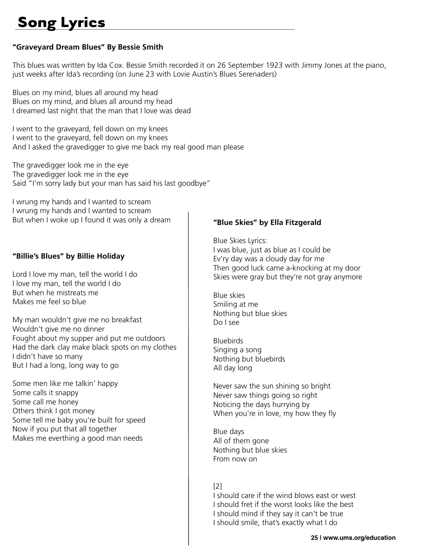# **Song Lyrics**

#### **"Graveyard Dream Blues" By Bessie Smith**

This blues was written by Ida Cox. Bessie Smith recorded it on 26 September 1923 with Jimmy Jones at the piano, just weeks after Ida's recording (on June 23 with Lovie Austin's Blues Serenaders)

Blues on my mind, blues all around my head Blues on my mind, and blues all around my head I dreamed last night that the man that I love was dead

I went to the graveyard, fell down on my knees I went to the graveyard, fell down on my knees And I asked the gravedigger to give me back my real good man please

The gravedigger look me in the eye The gravedigger look me in the eye Said "I'm sorry lady but your man has said his last goodbye"

I wrung my hands and I wanted to scream I wrung my hands and I wanted to scream But when I woke up I found it was only a dream

#### **"Billie's Blues" by Billie Holiday**

Lord I love my man, tell the world I do I love my man, tell the world I do But when he mistreats me Makes me feel so blue

My man wouldn't give me no breakfast Wouldn't give me no dinner Fought about my supper and put me outdoors Had the dark clay make black spots on my clothes I didn't have so many But I had a long, long way to go

Some men like me talkin' happy Some calls it snappy Some call me honey Others think I got money Some tell me baby you're built for speed Now if you put that all together Makes me everthing a good man needs

#### **"Blue Skies" by Ella Fitzgerald**

Blue Skies Lyrics: I was blue, just as blue as I could be Ev'ry day was a cloudy day for me Then good luck came a-knocking at my door Skies were gray but they're not gray anymore

Blue skies Smiling at me Nothing but blue skies Do I see

Bluebirds Singing a song Nothing but bluebirds All day long

Never saw the sun shining so bright Never saw things going so right Noticing the days hurrying by When you're in love, my how they fly

Blue days All of them gone Nothing but blue skies From now on

#### [2]

I should care if the wind blows east or west I should fret if the worst looks like the best I should mind if they say it can't be true I should smile, that's exactly what I do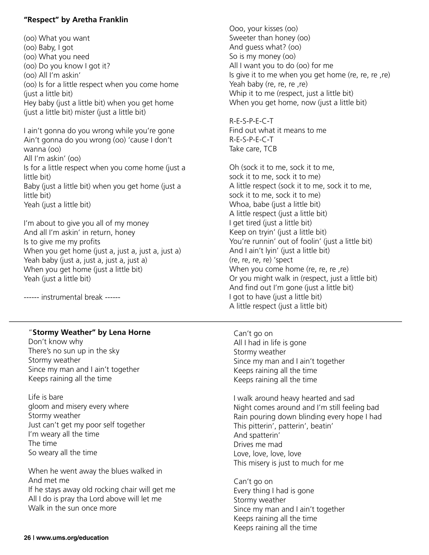#### **"Respect" by Aretha Franklin**

(oo) What you want (oo) Baby, I got (oo) What you need (oo) Do you know I got it? (oo) All I'm askin' (oo) Is for a little respect when you come home (just a little bit) Hey baby (just a little bit) when you get home (just a little bit) mister (just a little bit)

I ain't gonna do you wrong while you're gone Ain't gonna do you wrong (oo) 'cause I don't wanna (oo) All I'm askin' (oo) Is for a little respect when you come home (just a little bit) Baby (just a little bit) when you get home (just a little bit) Yeah (just a little bit)

I'm about to give you all of my money And all I'm askin' in return, honey Is to give me my profits When you get home (just a, just a, just a, just a) Yeah baby (just a, just a, just a, just a) When you get home (just a little bit) Yeah (just a little bit)

------ instrumental break ------

#### "**Stormy Weather" by Lena Horne**

Don't know why There's no sun up in the sky Stormy weather Since my man and I ain't together Keeps raining all the time

Life is bare gloom and misery every where Stormy weather Just can't get my poor self together I'm weary all the time The time So weary all the time

When he went away the blues walked in And met me If he stays away old rocking chair will get me All I do is pray tha Lord above will let me Walk in the sun once more

Ooo, your kisses (oo) Sweeter than honey (oo) And guess what? (oo) So is my money (oo) All I want you to do (oo) for me Is give it to me when you get home (re, re, re ,re) Yeah baby (re, re, re ,re) Whip it to me (respect, just a little bit) When you get home, now (just a little bit)

R-E-S-P-E-C-T Find out what it means to me R-E-S-P-E-C-T Take care, TCB

Oh (sock it to me, sock it to me, sock it to me, sock it to me) A little respect (sock it to me, sock it to me, sock it to me, sock it to me) Whoa, babe (just a little bit) A little respect (just a little bit) I get tired (just a little bit) Keep on tryin' (just a little bit) You're runnin' out of foolin' (just a little bit) And I ain't lyin' (just a little bit) (re, re, re, re) 'spect When you come home (re, re, re ,re) Or you might walk in (respect, just a little bit) And find out I'm gone (just a little bit) I got to have (just a little bit) A little respect (just a little bit)

Can't go on All I had in life is gone Stormy weather Since my man and I ain't together Keeps raining all the time Keeps raining all the time

I walk around heavy hearted and sad Night comes around and I'm still feeling bad Rain pouring down blinding every hope I had This pitterin', patterin', beatin' And spatterin' Drives me mad Love, love, love, love This misery is just to much for me

Can't go on Every thing I had is gone Stormy weather Since my man and I ain't together Keeps raining all the time Keeps raining all the time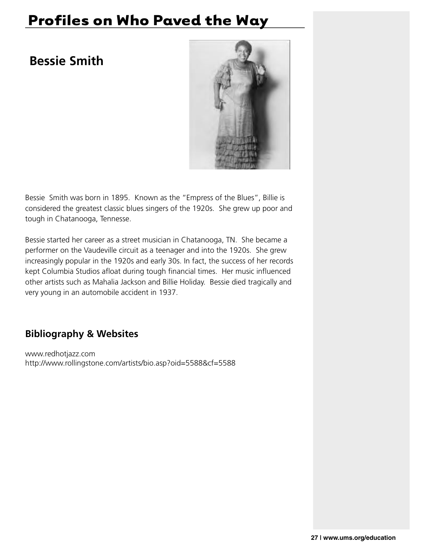# **Bessie Smith**



Bessie Smith was born in 1895. Known as the "Empress of the Blues", Billie is considered the greatest classic blues singers of the 1920s. She grew up poor and tough in Chatanooga, Tennesse.

Bessie started her career as a street musician in Chatanooga, TN. She became a performer on the Vaudeville circuit as a teenager and into the 1920s. She grew increasingly popular in the 1920s and early 30s. In fact, the success of her records kept Columbia Studios afloat during tough financial times. Her music influenced other artists such as Mahalia Jackson and Billie Holiday. Bessie died tragically and very young in an automobile accident in 1937.

### **Bibliography & Websites**

www.redhotjazz.com http://www.rollingstone.com/artists/bio.asp?oid=5588&cf=5588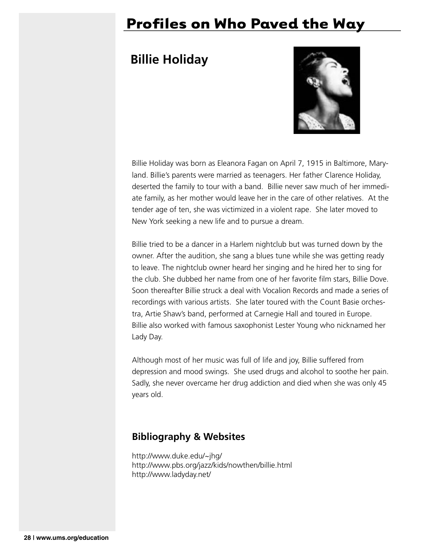### **Billie Holiday**



Billie Holiday was born as Eleanora Fagan on April 7, 1915 in Baltimore, Maryland. Billie's parents were married as teenagers. Her father Clarence Holiday, deserted the family to tour with a band. Billie never saw much of her immediate family, as her mother would leave her in the care of other relatives. At the tender age of ten, she was victimized in a violent rape. She later moved to New York seeking a new life and to pursue a dream.

Billie tried to be a dancer in a Harlem nightclub but was turned down by the owner. After the audition, she sang a blues tune while she was getting ready to leave. The nightclub owner heard her singing and he hired her to sing for the club. She dubbed her name from one of her favorite film stars, Billie Dove. Soon thereafter Billie struck a deal with Vocalion Records and made a series of recordings with various artists. She later toured with the Count Basie orchestra, Artie Shaw's band, performed at Carnegie Hall and toured in Europe. Billie also worked with famous saxophonist Lester Young who nicknamed her Lady Day.

Although most of her music was full of life and joy, Billie suffered from depression and mood swings. She used drugs and alcohol to soothe her pain. Sadly, she never overcame her drug addiction and died when she was only 45 years old.

### **Bibliography & Websites**

http://www.duke.edu/~jhg/ http://www.pbs.org/jazz/kids/nowthen/billie.html http://www.ladyday.net/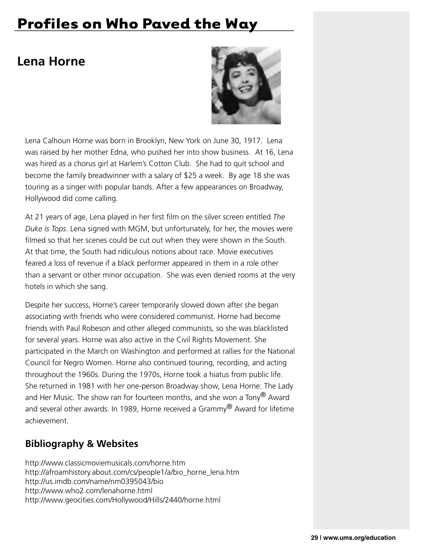# **Lena Horne**



Lena Calhoun Horne was born in Brooklyn, New York on June 30, 1917. Lena was raised by her mother Edna, who pushed her into show business. At 16, Lena was hired as a chorus girl at Harlem's Cotton Club. She had to quit school and become the family breadwinner with a salary of \$25 a week. By age 18 she was touring as a singer with popular bands. After a few appearances on Broadway, Hollywood did come calling.

At 21 years of age, Lena played in her first film on the silver screen entitled *The Duke is Tops*. Lena signed with MGM, but unfortunately, for her, the movies were filmed so that her scenes could be cut out when they were shown in the South. At that time, the South had ridiculous notions about race. Movie executives feared a loss of revenue if a black performer appeared in them in a role other than a servant or other minor occupation. She was even denied rooms at the very hotels in which she sang.

Despite her success, Horne's career temporarily slowed down after she began associating with friends who were considered communist. Horne had become friends with Paul Robeson and other alleged communists, so she was blacklisted for several years. Horne was also active in the Civil Rights Movement. She participated in the March on Washington and performed at rallies for the National Council for Negro Women. Horne also continued touring, recording, and acting throughout the 1960s. During the 1970s, Horne took a hiatus from public life. She returned in 1981 with her one-person Broadway show, Lena Horne: The Lady and Her Music. The show ran for fourteen months, and she won a Tonv<sup>®</sup> Award and several other awards. In 1989, Horne received a Grammy $^{\circledR}$  Award for lifetime achievement.

### **Bibliography & Websites**

http://www.classicmoviemusicals.com/horne.htm http://afroamhistory.about.com/cs/people1/a/bio\_horne\_lena.htm http://us.imdb.com/name/nm0395043/bio http://www.who2.com/lenahorne.html http://www.geocities.com/Hollywood/Hills/2440/horne.html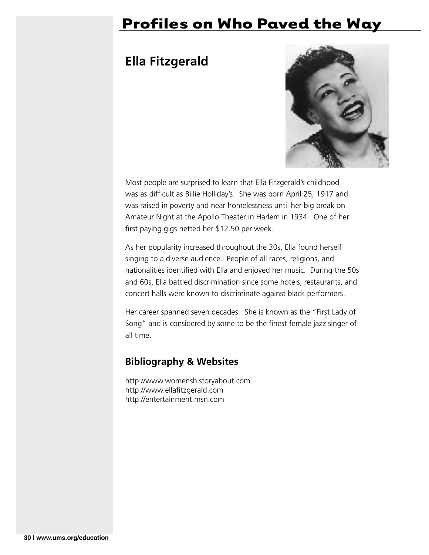### **Ella Fitzgerald**



Most people are surprised to learn that Ella Fitzgerald's childhood was as difficult as Billie Holliday's. She was born April 25, 1917 and was raised in poverty and near homelessness until her big break on Amateur Night at the Apollo Theater in Harlem in 1934. One of her first paying gigs netted her \$12.50 per week.

As her popularity increased throughout the 30s, Ella found herself singing to a diverse audience. People of all races, religions, and nationalities identified with Ella and enjoyed her music. During the 50s and 60s, Ella battled discrimination since some hotels, restaurants, and concert halls were known to discriminate against black performers.

Her career spanned seven decades. She is known as the "First Lady of Song" and is considered by some to be the finest female jazz singer of all time.

#### **Bibliography & Websites**

http://www.womenshistoryabout.com http://www.ellafitzgerald.com http://entertainment.msn.com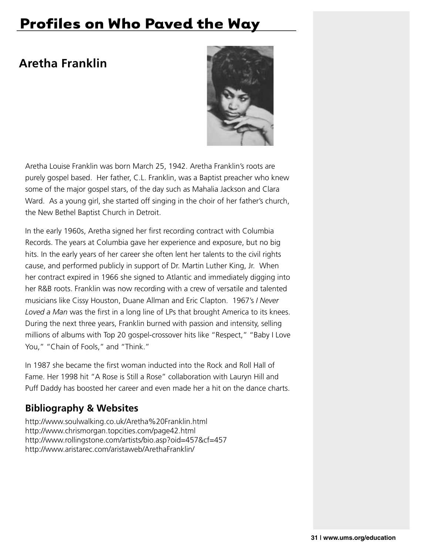# **Profiles on Who Paved the Way Profiles on Who Paved the Way**

# **Aretha Franklin**



Aretha Louise Franklin was born March 25, 1942. Aretha Franklin's roots are purely gospel based. Her father, C.L. Franklin, was a Baptist preacher who knew some of the major gospel stars, of the day such as Mahalia Jackson and Clara Ward. As a young girl, she started off singing in the choir of her father's church, the New Bethel Baptist Church in Detroit.

In the early 1960s, Aretha signed her first recording contract with Columbia Records. The years at Columbia gave her experience and exposure, but no big hits. In the early years of her career she often lent her talents to the civil rights cause, and performed publicly in support of Dr. Martin Luther King, Jr. When her contract expired in 1966 she signed to Atlantic and immediately digging into her R&B roots. Franklin was now recording with a crew of versatile and talented musicians like Cissy Houston, Duane Allman and Eric Clapton. 1967's *I Never*  Loved a Man was the first in a long line of LPs that brought America to its knees. During the next three years, Franklin burned with passion and intensity, selling millions of albums with Top 20 gospel-crossover hits like "Respect," "Baby I Love You," "Chain of Fools," and "Think."

In 1987 she became the first woman inducted into the Rock and Roll Hall of Fame. Her 1998 hit "A Rose is Still a Rose" collaboration with Lauryn Hill and Puff Daddy has boosted her career and even made her a hit on the dance charts.

### **Bibliography & Websites**

http://www.soulwalking.co.uk/Aretha%20Franklin.html http://www.chrismorgan.topcities.com/page42.html http://www.rollingstone.com/artists/bio.asp?oid=457&cf=457 http://www.aristarec.com/aristaweb/ArethaFranklin/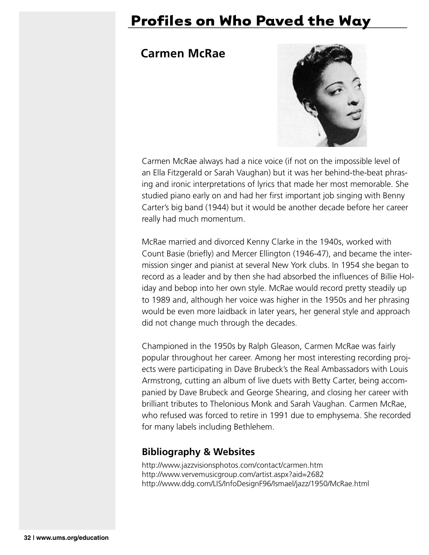### **Carmen McRae**



Carmen McRae always had a nice voice (if not on the impossible level of an Ella Fitzgerald or Sarah Vaughan) but it was her behind-the-beat phrasing and ironic interpretations of lyrics that made her most memorable. She studied piano early on and had her first important job singing with Benny Carter's big band (1944) but it would be another decade before her career really had much momentum.

McRae married and divorced Kenny Clarke in the 1940s, worked with Count Basie (briefly) and Mercer Ellington (1946-47), and became the intermission singer and pianist at several New York clubs. In 1954 she began to record as a leader and by then she had absorbed the influences of Billie Holiday and bebop into her own style. McRae would record pretty steadily up to 1989 and, although her voice was higher in the 1950s and her phrasing would be even more laidback in later years, her general style and approach did not change much through the decades.

Championed in the 1950s by Ralph Gleason, Carmen McRae was fairly popular throughout her career. Among her most interesting recording projects were participating in Dave Brubeck's the Real Ambassadors with Louis Armstrong, cutting an album of live duets with Betty Carter, being accompanied by Dave Brubeck and George Shearing, and closing her career with brilliant tributes to Thelonious Monk and Sarah Vaughan. Carmen McRae, who refused was forced to retire in 1991 due to emphysema. She recorded for many labels including Bethlehem.

### **Bibliography & Websites**

http://www.jazzvisionsphotos.com/contact/carmen.htm http://www.vervemusicgroup.com/artist.aspx?aid=2682 http://www.ddg.com/LIS/InfoDesignF96/Ismael/jazz/1950/McRae.html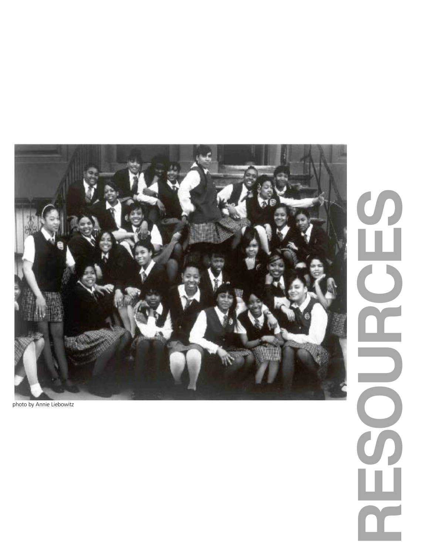

**RESOURCES**

DE

photo by Annie Liebowitz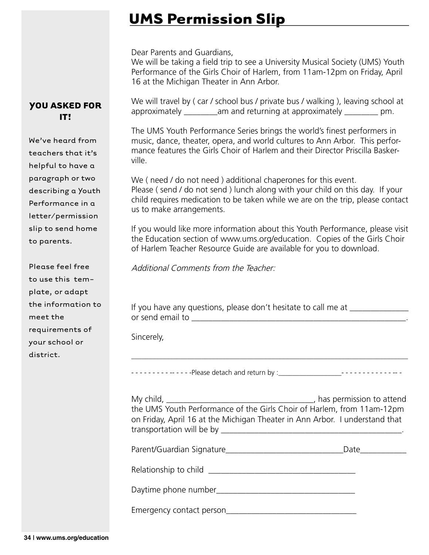# **UMS Permission Slip**

Dear Parents and Guardians,

We will be taking a field trip to see a University Musical Society (UMS) Youth Performance of the Girls Choir of Harlem, from 11am-12pm on Friday, April 16 at the Michigan Theater in Ann Arbor.

We will travel by (car / school bus / private bus / walking), leaving school at approximately \_\_\_\_\_\_\_\_am and returning at approximately \_\_\_\_\_\_\_\_ pm.

The UMS Youth Performance Series brings the world's finest performers in music, dance, theater, opera, and world cultures to Ann Arbor. This performance features the Girls Choir of Harlem and their Director Priscilla Baskerville.

We ( need / do not need ) additional chaperones for this event. Please ( send / do not send ) lunch along with your child on this day. If your child requires medication to be taken while we are on the trip, please contact us to make arrangements.

If you would like more information about this Youth Performance, please visit the Education section of www.ums.org/education. Copies of the Girls Choir of Harlem Teacher Resource Guide are available for you to download.

Additional Comments from the Teacher:

If you have any questions, please don't hesitate to call me at \_\_\_\_\_\_\_\_\_\_\_\_\_\_\_\_\_ or send email to

\_\_\_\_\_\_\_\_\_\_\_\_\_\_\_\_\_\_\_\_\_\_\_\_\_\_\_\_\_\_\_\_\_\_\_\_\_\_\_\_\_\_\_\_\_\_\_\_\_\_\_\_\_\_\_\_\_\_\_\_\_\_\_\_\_\_\_\_\_\_\_\_\_\_\_\_\_\_\_

Sincerely,

- - - - - - - - - -- - - - -Please detach and return by :\_\_\_\_\_\_\_\_\_\_\_\_\_\_\_\_\_\_- - - - - - - - - - - - -- -

| on Friday, April 16 at the Michigan Theater in Ann Arbor. I understand that |                   |
|-----------------------------------------------------------------------------|-------------------|
|                                                                             | Date_____________ |
|                                                                             |                   |
|                                                                             |                   |
| Emergency contact person                                                    |                   |

### **YOU ASKED FOR IT!**

We've heard from teachers that it's helpful to have a paragraph or two describing a Youth Performance in a letter/permission slip to send home to parents.

Please feel free to use this template, or adapt the information to meet the requirements of your school or district.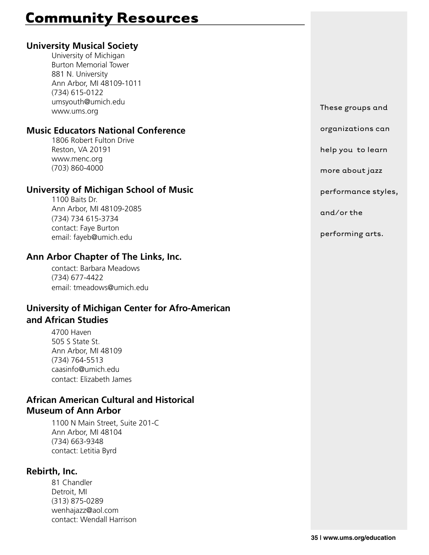# **Community Resources**

### **University Musical Society**

University of Michigan Burton Memorial Tower 881 N. University Ann Arbor, MI 48109-1011 (734) 615-0122 umsyouth@umich.edu www.ums.org

#### **Music Educators National Conference**

1806 Robert Fulton Drive Reston, VA 20191 www.menc.org (703) 860-4000

### **University of Michigan School of Music**

1100 Baits Dr. Ann Arbor, MI 48109-2085 (734) 734 615-3734 contact: Faye Burton email: fayeb@umich.edu

### **Ann Arbor Chapter of The Links, Inc.**

contact: Barbara Meadows (734) 677-4422 email: tmeadows@umich.edu

### **University of Michigan Center for Afro-American and African Studies**

4700 Haven 505 S State St. Ann Arbor, MI 48109 (734) 764-5513 caasinfo@umich.edu contact: Elizabeth James

### **African American Cultural and Historical Museum of Ann Arbor**

1100 N Main Street, Suite 201-C Ann Arbor, MI 48104 (734) 663-9348 contact: Letitia Byrd

### **Rebirth, Inc.**

81 Chandler Detroit, MI (313) 875-0289 wenhajazz@aol.com contact: Wendall Harrison These groups and

organizations can

help you to learn

more about jazz

performance styles,

and/or the

performing arts.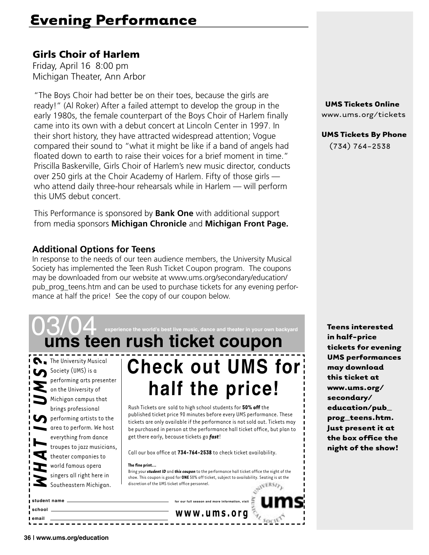# **Evening Performance**

### Girls Choir of Harlem

Friday, April 16 8:00 pm Michigan Theater, Ann Arbor

"The Boys Choir had better be on their toes, because the girls are ready!" (Al Roker) After a failed attempt to develop the group in the early 1980s, the female counterpart of the Boys Choir of Harlem finally came into its own with a debut concert at Lincoln Center in 1997. In their short history, they have attracted widespread attention; Vogue compared their sound to "what it might be like if a band of angels had floated down to earth to raise their voices for a brief moment in time." Priscilla Baskerville, Girls Choir of Harlem's new music director, conducts over 250 girls at the Choir Academy of Harlem. Fifty of those girls who attend daily three-hour rehearsals while in Harlem — will perform this UMS debut concert.

This Performance is sponsored by **Bank One** with additional support from media sponsors **Michigan Chronicle** and **Michigan Front Page.**

#### **Additional Options for Teens**

In response to the needs of our teen audience members, the University Musical Society has implemented the Teen Rush Ticket Coupon program. The coupons may be downloaded from our website at www.ums.org/secondary/education/ pub\_prog\_teens.htm and can be used to purchase tickets for any evening performance at half the price! See the copy of our coupon below.

| experience the world's best live music, dance and theater in your own backyard<br>ums teen rush ticket coupon                       |                                                                                                                                                                                                                                                                                                                                                        |  |
|-------------------------------------------------------------------------------------------------------------------------------------|--------------------------------------------------------------------------------------------------------------------------------------------------------------------------------------------------------------------------------------------------------------------------------------------------------------------------------------------------------|--|
| The University Musical<br>Society (UMS) is a<br>performing arts presenter<br>on the University of<br>Michigan campus that           | <b>Check out UMS for:</b><br>half the price!                                                                                                                                                                                                                                                                                                           |  |
| brings professional<br>performing artists to the<br>area to perform. We host<br>everything from dance<br>troupes to jazz musicians, | Rush Tickets are sold to high school students for 50% off the<br>published ticket price 90 minutes before every UMS performance. These<br>tickets are only available if the performance is not sold out. Tickets may<br>be purchased in person at the performance hall ticket office, but plan to<br>get there early, because tickets go <i>fast</i> ! |  |
| theater companies to<br>world famous opera<br>singers all right here in<br>Southeastern Michigan.                                   | Call our box office at 734-764-2538 to check ticket availability.<br>The fine print<br>Bring your <i>student ID</i> and <i>this coupon</i> to the performance hall ticket office the night of the<br>show. This coupon is good for ONE 50% off ticket, subject to availability. Seating is at the<br>discretion of the UMS ticket office personnel.    |  |
| student name<br>school<br>email                                                                                                     | for our full season and more information, visit<br>www.ums.org                                                                                                                                                                                                                                                                                         |  |

#### **UMS Tickets Online**

www.ums.org/tickets

**UMS Tickets By Phone**

(734) 764-2538

**Teens interested in half-price tickets for evening UMS performances may download this ticket at www.ums.org/ secondary/ education/pub\_ prog\_teens.htm. Just present it at the box office the night of the show!**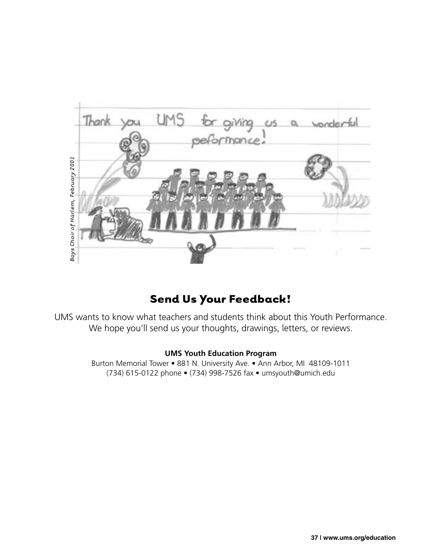

## **Send Us Your Feedback!**

UMS wants to know what teachers and students think about this Youth Performance. We hope you'll send us your thoughts, drawings, letters, or reviews.

#### **UMS Youth Education Program**

Burton Memorial Tower • 881 N. University Ave. • Ann Arbor, MI 48109-1011 (734) 615-0122 phone • (734) 998-7526 fax • umsyouth@umich.edu